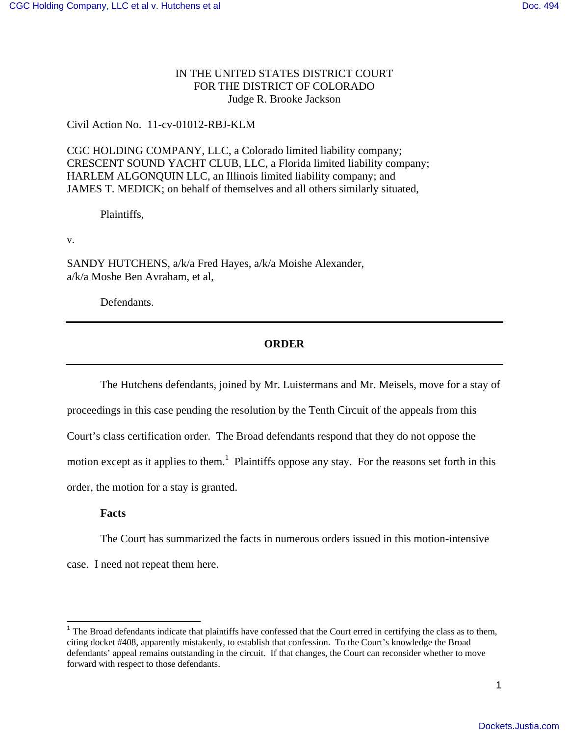# IN THE UNITED STATES DISTRICT COURT FOR THE DISTRICT OF COLORADO Judge R. Brooke Jackson

### Civil Action No. 11-cv-01012-RBJ-KLM

CGC HOLDING COMPANY, LLC, a Colorado limited liability company; CRESCENT SOUND YACHT CLUB, LLC, a Florida limited liability company; HARLEM ALGONQUIN LLC, an Illinois limited liability company; and JAMES T. MEDICK; on behalf of themselves and all others similarly situated,

Plaintiffs,

v.

SANDY HUTCHENS, a/k/a Fred Hayes, a/k/a Moishe Alexander, a/k/a Moshe Ben Avraham, et al,

Defendants.

# **ORDER**

The Hutchens defendants, joined by Mr. Luistermans and Mr. Meisels, move for a stay of

proceedings in this case pending the resolution by the Tenth Circuit of the appeals from this

Court's class certification order. The Broad defendants respond that they do not oppose the

motion except as it applies to them.<sup>1</sup> Plaintiffs oppose any stay. For the reasons set forth in this

order, the motion for a stay is granted.

### **Facts**

-

The Court has summarized the facts in numerous orders issued in this motion-intensive

case. I need not repeat them here.

 $1$  The Broad defendants indicate that plaintiffs have confessed that the Court erred in certifying the class as to them, citing docket #408, apparently mistakenly, to establish that confession. To the Court's knowledge the Broad defendants' appeal remains outstanding in the circuit. If that changes, the Court can reconsider whether to move forward with respect to those defendants.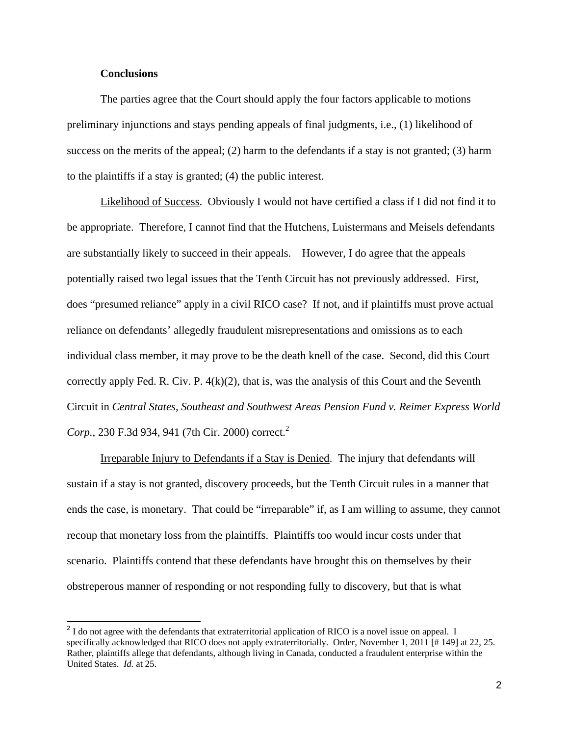### **Conclusions**

The parties agree that the Court should apply the four factors applicable to motions preliminary injunctions and stays pending appeals of final judgments, i.e., (1) likelihood of success on the merits of the appeal; (2) harm to the defendants if a stay is not granted; (3) harm to the plaintiffs if a stay is granted; (4) the public interest.

 Likelihood of Success. Obviously I would not have certified a class if I did not find it to be appropriate. Therefore, I cannot find that the Hutchens, Luistermans and Meisels defendants are substantially likely to succeed in their appeals. However, I do agree that the appeals potentially raised two legal issues that the Tenth Circuit has not previously addressed. First, does "presumed reliance" apply in a civil RICO case? If not, and if plaintiffs must prove actual reliance on defendants' allegedly fraudulent misrepresentations and omissions as to each individual class member, it may prove to be the death knell of the case. Second, did this Court correctly apply Fed. R. Civ. P. 4(k)(2), that is, was the analysis of this Court and the Seventh Circuit in *Central States, Southeast and Southwest Areas Pension Fund v. Reimer Express World Corp.*, 230 F.3d 934, 941 (7th Cir. 2000) correct.<sup>2</sup>

 Irreparable Injury to Defendants if a Stay is Denied. The injury that defendants will sustain if a stay is not granted, discovery proceeds, but the Tenth Circuit rules in a manner that ends the case, is monetary. That could be "irreparable" if, as I am willing to assume, they cannot recoup that monetary loss from the plaintiffs. Plaintiffs too would incur costs under that scenario. Plaintiffs contend that these defendants have brought this on themselves by their obstreperous manner of responding or not responding fully to discovery, but that is what

 $2<sup>2</sup>$  I do not agree with the defendants that extraterritorial application of RICO is a novel issue on appeal. I specifically acknowledged that RICO does not apply extraterritorially. Order, November 1, 2011 [# 149] at 22, 25. Rather, plaintiffs allege that defendants, although living in Canada, conducted a fraudulent enterprise within the United States. *Id.* at 25.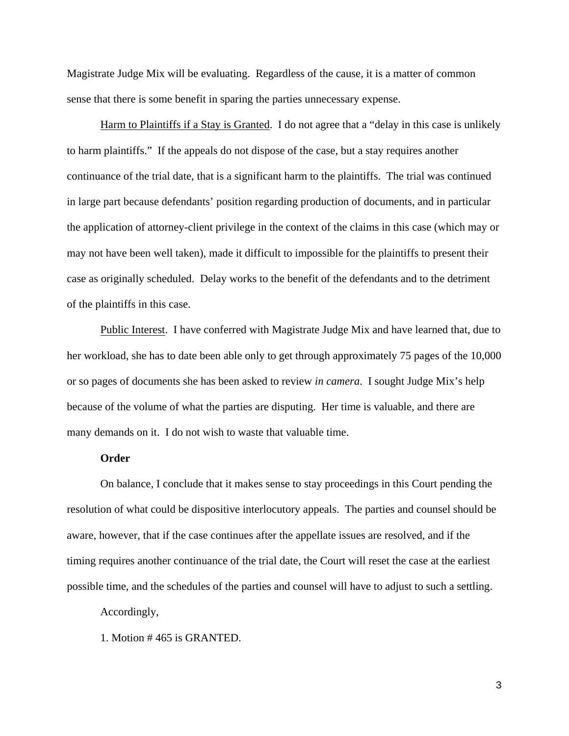Magistrate Judge Mix will be evaluating. Regardless of the cause, it is a matter of common sense that there is some benefit in sparing the parties unnecessary expense.

 Harm to Plaintiffs if a Stay is Granted. I do not agree that a "delay in this case is unlikely to harm plaintiffs." If the appeals do not dispose of the case, but a stay requires another continuance of the trial date, that is a significant harm to the plaintiffs. The trial was continued in large part because defendants' position regarding production of documents, and in particular the application of attorney-client privilege in the context of the claims in this case (which may or may not have been well taken), made it difficult to impossible for the plaintiffs to present their case as originally scheduled. Delay works to the benefit of the defendants and to the detriment of the plaintiffs in this case.

 Public Interest. I have conferred with Magistrate Judge Mix and have learned that, due to her workload, she has to date been able only to get through approximately 75 pages of the 10,000 or so pages of documents she has been asked to review *in camera*. I sought Judge Mix's help because of the volume of what the parties are disputing. Her time is valuable, and there are many demands on it. I do not wish to waste that valuable time.

#### **Order**

 On balance, I conclude that it makes sense to stay proceedings in this Court pending the resolution of what could be dispositive interlocutory appeals. The parties and counsel should be aware, however, that if the case continues after the appellate issues are resolved, and if the timing requires another continuance of the trial date, the Court will reset the case at the earliest possible time, and the schedules of the parties and counsel will have to adjust to such a settling.

Accordingly,

1. Motion # 465 is GRANTED.